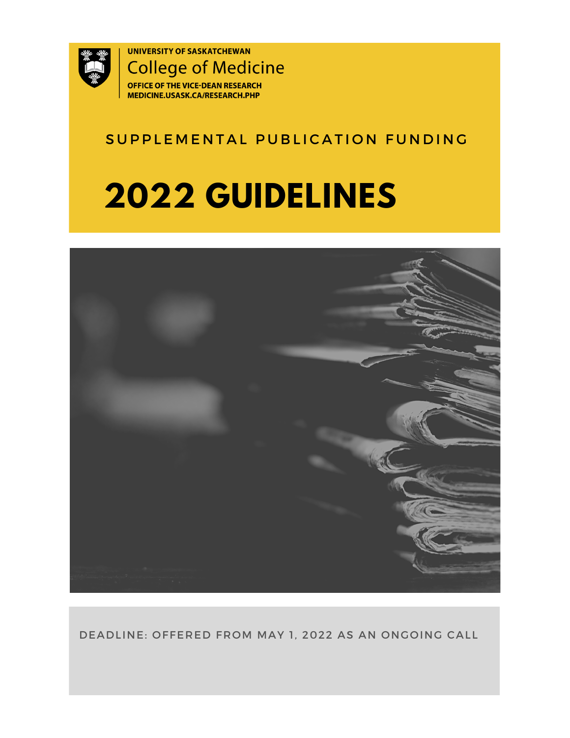

## SUPPLEMENTAL PUBLICATION FUNDING

## **2022 GUIDELINES**



DEADLINE: OFFERED FROM MAY 1, 2022 AS AN ONGOING CALL